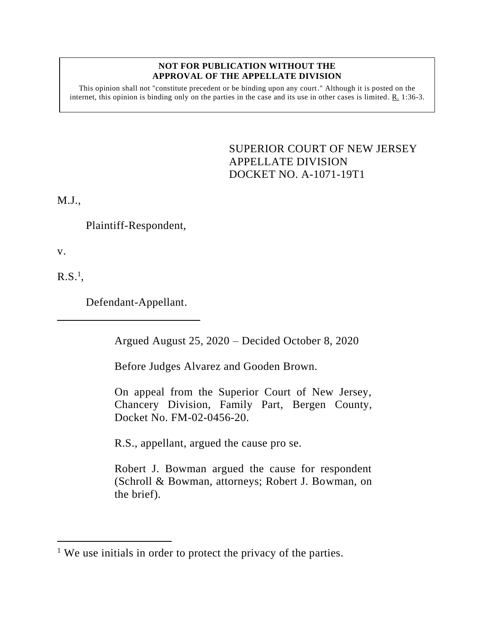## **NOT FOR PUBLICATION WITHOUT THE APPROVAL OF THE APPELLATE DIVISION**

This opinion shall not "constitute precedent or be binding upon any court." Although it is posted on the internet, this opinion is binding only on the parties in the case and its use in other cases is limited. R. 1:36-3.

> <span id="page-0-0"></span>SUPERIOR COURT OF NEW JERSEY APPELLATE DIVISION DOCKET NO. A-1071-19T1

M.J.,

Plaintiff-Respondent,

v.

 $R.S.^1$ 

Defendant-Appellant.

Argued August 25, 2020 – Decided October 8, 2020

Before Judges Alvarez and Gooden Brown.

On appeal from the Superior Court of New Jersey, Chancery Division, Family Part, Bergen County, Docket No. FM-02-0456-20.

R.S., appellant, argued the cause pro se.

Robert J. Bowman argued the cause for respondent (Schroll & Bowman, attorneys; Robert J. Bowman, on the brief).

<sup>&</sup>lt;sup>1</sup> We use initials in order to protect the privacy of the parties.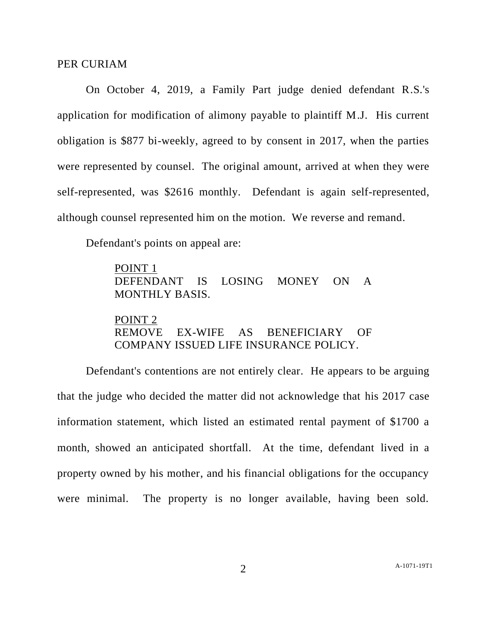## PER CURIAM

On October 4, 2019, a Family Part judge denied defendant R.S.'s application for modification of alimony payable to plaintiff M.J. His current obligation is \$877 bi-weekly, agreed to by consent in 2017, when the parties were represented by counsel. The original amount, arrived at when they were self-represented, was \$2616 monthly. Defendant is again self-represented, although counsel represented him on the motion. We reverse and remand.

Defendant's points on appeal are:

POINT 1 DEFENDANT IS LOSING MONEY ON A MONTHLY BASIS.

POINT 2 REMOVE EX-WIFE AS BENEFICIARY OF COMPANY ISSUED LIFE INSURANCE POLICY.

Defendant's contentions are not entirely clear. He appears to be arguing that the judge who decided the matter did not acknowledge that his 2017 case information statement, which listed an estimated rental payment of \$1700 a month, showed an anticipated shortfall. At the time, defendant lived in a property owned by his mother, and his financial obligations for the occupancy were minimal. The property is no longer available, having been sold.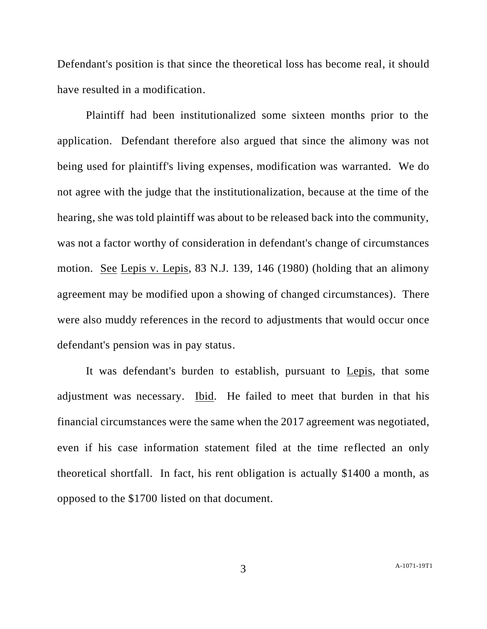Defendant's position is that since the theoretical loss has become real, it should have resulted in a modification.

Plaintiff had been institutionalized some sixteen months prior to the application. Defendant therefore also argued that since the alimony was not being used for plaintiff's living expenses, modification was warranted. We do not agree with the judge that the institutionalization, because at the time of the hearing, she was told plaintiff was about to be released back into the community, was not a factor worthy of consideration in defendant's change of circumstances motion. See Lepis v. Lepis, 83 N.J. 139, 146 (1980) (holding that an alimony agreement may be modified upon a showing of changed circumstances). There were also muddy references in the record to adjustments that would occur once defendant's pension was in pay status.

It was defendant's burden to establish, pursuant to Lepis, that some adjustment was necessary. Ibid. He failed to meet that burden in that his financial circumstances were the same when the 2017 agreement was negotiated, even if his case information statement filed at the time reflected an only theoretical shortfall. In fact, his rent obligation is actually \$1400 a month, as opposed to the \$1700 listed on that document.

3